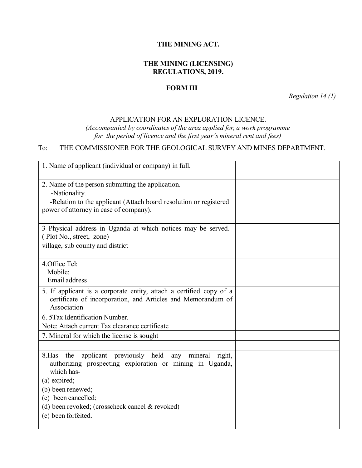#### **THE MINING ACT.**

## **THE MINING (LICENSING) REGULATIONS, 2019.**

### **FORM III**

*Regulation 14 (1)*

#### APPLICATION FOR AN EXPLORATION LICENCE.

*(Accompanied by coordinates of the area applied for, a work programme for the period of licence and the first year's mineral rent and fees)*

# To: THE COMMISSIONER FOR THE GEOLOGICAL SURVEY AND MINES DEPARTMENT.

| 1. Name of applicant (individual or company) in full.                                                                                                                                                                                                                        |  |
|------------------------------------------------------------------------------------------------------------------------------------------------------------------------------------------------------------------------------------------------------------------------------|--|
| 2. Name of the person submitting the application.<br>-Nationality.<br>-Relation to the applicant (Attach board resolution or registered<br>power of attorney in case of company).                                                                                            |  |
| 3 Physical address in Uganda at which notices may be served.<br>(Plot No., street, zone)<br>village, sub county and district                                                                                                                                                 |  |
| 4. Office Tel:<br>Mobile:<br>Email address                                                                                                                                                                                                                                   |  |
| 5. If applicant is a corporate entity, attach a certified copy of a<br>certificate of incorporation, and Articles and Memorandum of<br>Association                                                                                                                           |  |
| 6. 5 Tax Identification Number.<br>Note: Attach current Tax clearance certificate                                                                                                                                                                                            |  |
| 7. Mineral for which the license is sought                                                                                                                                                                                                                                   |  |
|                                                                                                                                                                                                                                                                              |  |
| applicant previously held any mineral right,<br>8.Has<br>the<br>authorizing prospecting exploration or mining in Uganda,<br>which has-<br>(a) expired;<br>(b) been renewed;<br>(c) been cancelled;<br>(d) been revoked; (crosscheck cancel & revoked)<br>(e) been forfeited. |  |